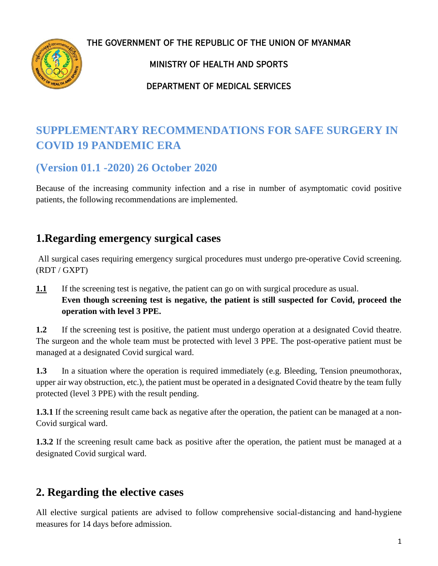**THE GOVERNMENT OF THE REPUBLIC OF THE UNION OF MYANMAR**



### **MINISTRY OF HEALTH AND SPORTS**

### **DEPARTMENT OF MEDICAL SERVICES**

# **SUPPLEMENTARY RECOMMENDATIONS FOR SAFE SURGERY IN COVID 19 PANDEMIC ERA**

## **(Version 01.1 -2020) 26 October 2020**

Because of the increasing community infection and a rise in number of asymptomatic covid positive patients, the following recommendations are implemented.

## **1.Regarding emergency surgical cases**

All surgical cases requiring emergency surgical procedures must undergo pre-operative Covid screening. (RDT / GXPT)

**1.1** If the screening test is negative, the patient can go on with surgical procedure as usual. **Even though screening test is negative, the patient is still suspected for Covid, proceed the operation with level 3 PPE.**

**1.2** If the screening test is positive, the patient must undergo operation at a designated Covid theatre. The surgeon and the whole team must be protected with level 3 PPE. The post-operative patient must be managed at a designated Covid surgical ward.

**1.3** In a situation where the operation is required immediately (e.g. Bleeding, Tension pneumothorax, upper air way obstruction, etc.), the patient must be operated in a designated Covid theatre by the team fully protected (level 3 PPE) with the result pending.

**1.3.1** If the screening result came back as negative after the operation, the patient can be managed at a non-Covid surgical ward.

**1.3.2** If the screening result came back as positive after the operation, the patient must be managed at a designated Covid surgical ward.

# **2. Regarding the elective cases**

All elective surgical patients are advised to follow comprehensive social-distancing and hand-hygiene measures for 14 days before admission.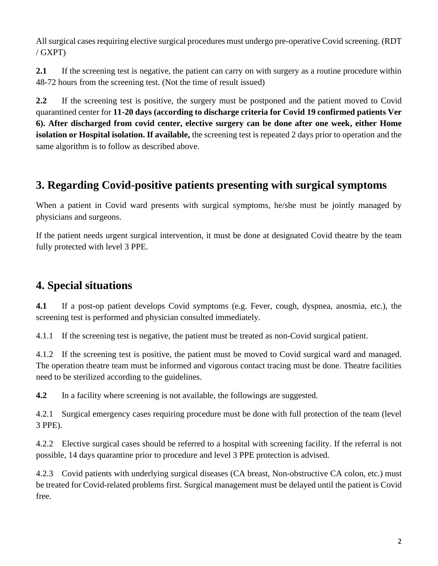All surgical cases requiring elective surgical procedures must undergo pre-operative Covid screening. (RDT / GXPT)

**2.1** If the screening test is negative, the patient can carry on with surgery as a routine procedure within 48-72 hours from the screening test. (Not the time of result issued)

**2.2** If the screening test is positive, the surgery must be postponed and the patient moved to Covid quarantined center for **11-20 days (according to discharge criteria for Covid 19 confirmed patients Ver 6). After discharged from covid center, elective surgery can be done after one week, either Home isolation or Hospital isolation. If available,** the screening test is repeated 2 days prior to operation and the same algorithm is to follow as described above.

# **3. Regarding Covid-positive patients presenting with surgical symptoms**

When a patient in Covid ward presents with surgical symptoms, he/she must be jointly managed by physicians and surgeons.

If the patient needs urgent surgical intervention, it must be done at designated Covid theatre by the team fully protected with level 3 PPE.

# **4. Special situations**

**4.1** If a post-op patient develops Covid symptoms (e.g. Fever, cough, dyspnea, anosmia, etc.), the screening test is performed and physician consulted immediately.

4.1.1 If the screening test is negative, the patient must be treated as non-Covid surgical patient.

4.1.2 If the screening test is positive, the patient must be moved to Covid surgical ward and managed. The operation theatre team must be informed and vigorous contact tracing must be done. Theatre facilities need to be sterilized according to the guidelines.

**4.2** In a facility where screening is not available, the followings are suggested.

4.2.1 Surgical emergency cases requiring procedure must be done with full protection of the team (level 3 PPE).

4.2.2 Elective surgical cases should be referred to a hospital with screening facility. If the referral is not possible, 14 days quarantine prior to procedure and level 3 PPE protection is advised.

4.2.3 Covid patients with underlying surgical diseases (CA breast, Non-obstructive CA colon, etc.) must be treated for Covid-related problems first. Surgical management must be delayed until the patient is Covid free.